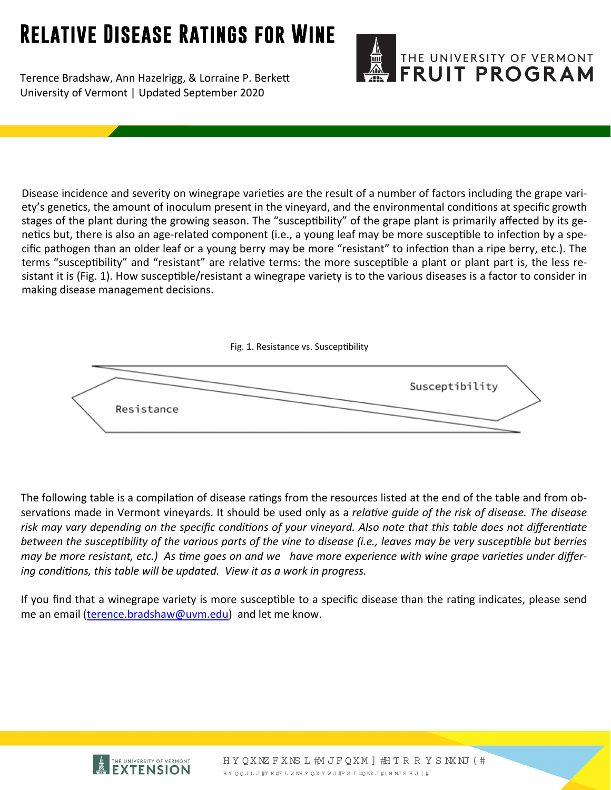## **Relative Disease Ratings for Wine**

Terence Bradshaw, Ann Hazelrigg, & Lorraine P. Berkett University of Vermont | Updated September 2020



Disease incidence and severity on winegrape varieties are the result of a number of factors including the grape variety's genetics, the amount of inoculum present in the vineyard, and the environmental conditions at specific growth stages of the plant during the growing season. The "susceptibility" of the grape plant is primarily affected by its genetics but, there is also an age-related component (i.e., a young leaf may be more susceptible to infection by a specific pathogen than an older leaf or a young berry may be more "resistant" to infection than a ripe berry, etc.). The terms "susceptibility" and "resistant" are relative terms: the more susceptible a plant or plant part is, the less resistant it is (Fig. 1). How susceptible/resistant a winegrape variety is to the various diseases is a factor to consider in making disease management decisions.



The following table is a compilation of disease ratings from the resources listed at the end of the table and from observaƟons made in Vermont vineyards. It should be used only as a *relaƟve guide of the risk of disease. The disease* risk may vary depending on the specific conditions of your vineyard. Also note that this table does not differentiate between the susceptibility of the various parts of the vine to disease (i.e., leaves may be very susceptible but berries may be more resistant, etc.) As time goes on and we have more experience with wine grape varieties under differ*ing condiƟons, this table will be updated. View it as a work in progress.*

If you find that a winegrape variety is more susceptible to a specific disease than the rating indicates, please send me an email (terence.bradshaw@uvm.edu) and let me know.